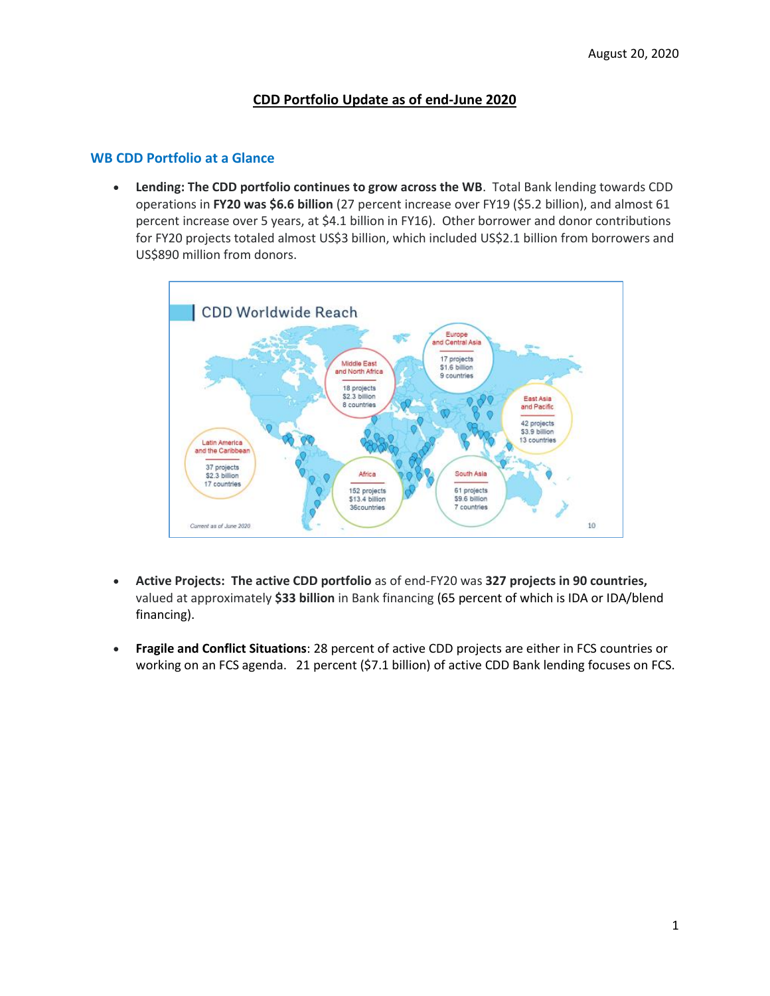# **CDD Portfolio Update as of end-June 2020**

#### **WB CDD Portfolio at a Glance**

• **Lending: The CDD portfolio continues to grow across the WB**. Total Bank lending towards CDD operations in **FY20 was \$6.6 billion** (27 percent increase over FY19 (\$5.2 billion), and almost 61 percent increase over 5 years, at \$4.1 billion in FY16). Other borrower and donor contributions for FY20 projects totaled almost US\$3 billion, which included US\$2.1 billion from borrowers and US\$890 million from donors.



- **Active Projects: The active CDD portfolio** as of end-FY20 was **327 projects in 90 countries,**  valued at approximately **\$33 billion** in Bank financing (65 percent of which is IDA or IDA/blend financing).
- **Fragile and Conflict Situations**: 28 percent of active CDD projects are either in FCS countries or working on an FCS agenda. 21 percent (\$7.1 billion) of active CDD Bank lending focuses on FCS.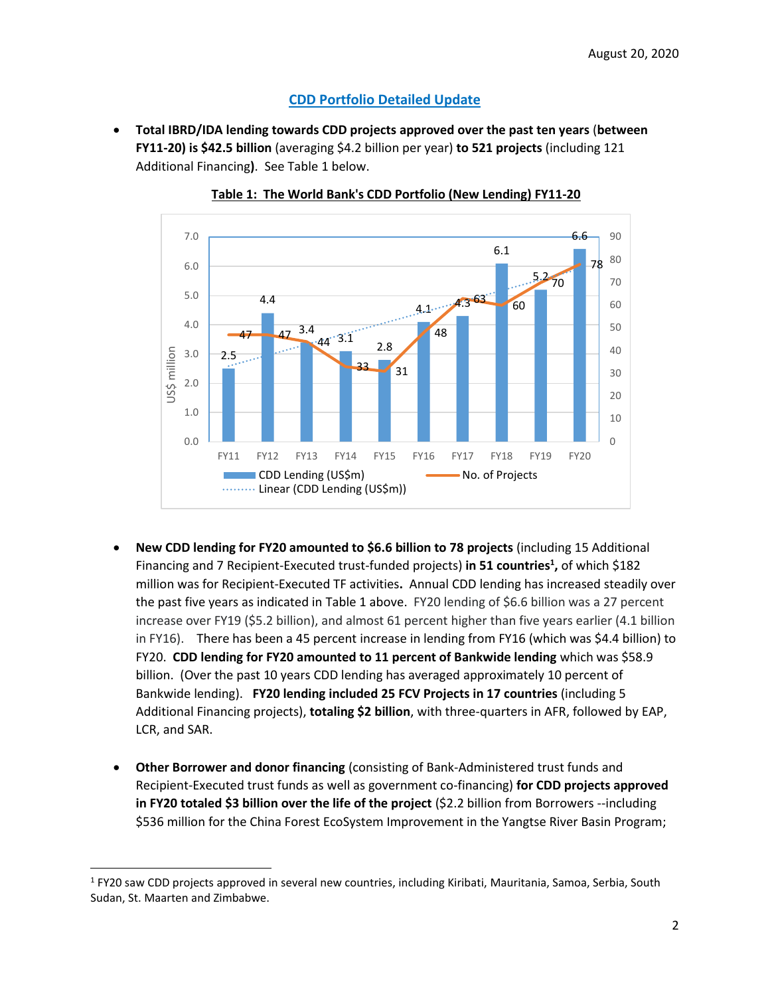# **CDD Portfolio Detailed Update**

• **Total IBRD/IDA lending towards CDD projects approved over the past ten years** (**between FY11-20) is \$42.5 billion** (averaging \$4.2 billion per year) **to 521 projects** (including 121 Additional Financing**)**. See Table 1 below.



**Table 1: The World Bank's CDD Portfolio (New Lending) FY11-20**

- **New CDD lending for FY20 amounted to \$6.6 billion to 78 projects** (including 15 Additional Financing and 7 Recipient-Executed trust-funded projects) **in 51 countries<sup>1</sup> ,** of which \$182 million was for Recipient-Executed TF activities**.** Annual CDD lending has increased steadily over the past five years as indicated in Table 1 above. FY20 lending of \$6.6 billion was a 27 percent increase over FY19 (\$5.2 billion), and almost 61 percent higher than five years earlier (4.1 billion in FY16). There has been a 45 percent increase in lending from FY16 (which was \$4.4 billion) to FY20. **CDD lending for FY20 amounted to 11 percent of Bankwide lending** which was \$58.9 billion. (Over the past 10 years CDD lending has averaged approximately 10 percent of Bankwide lending). **FY20 lending included 25 FCV Projects in 17 countries** (including 5 Additional Financing projects), **totaling \$2 billion**, with three-quarters in AFR, followed by EAP, LCR, and SAR.
- **Other Borrower and donor financing** (consisting of Bank-Administered trust funds and Recipient-Executed trust funds as well as government co-financing) **for CDD projects approved in FY20 totaled \$3 billion over the life of the project** (\$2.2 billion from Borrowers --including \$536 million for the China Forest EcoSystem Improvement in the Yangtse River Basin Program;

<sup>&</sup>lt;sup>1</sup> FY20 saw CDD projects approved in several new countries, including Kiribati, Mauritania, Samoa, Serbia, South Sudan, St. Maarten and Zimbabwe.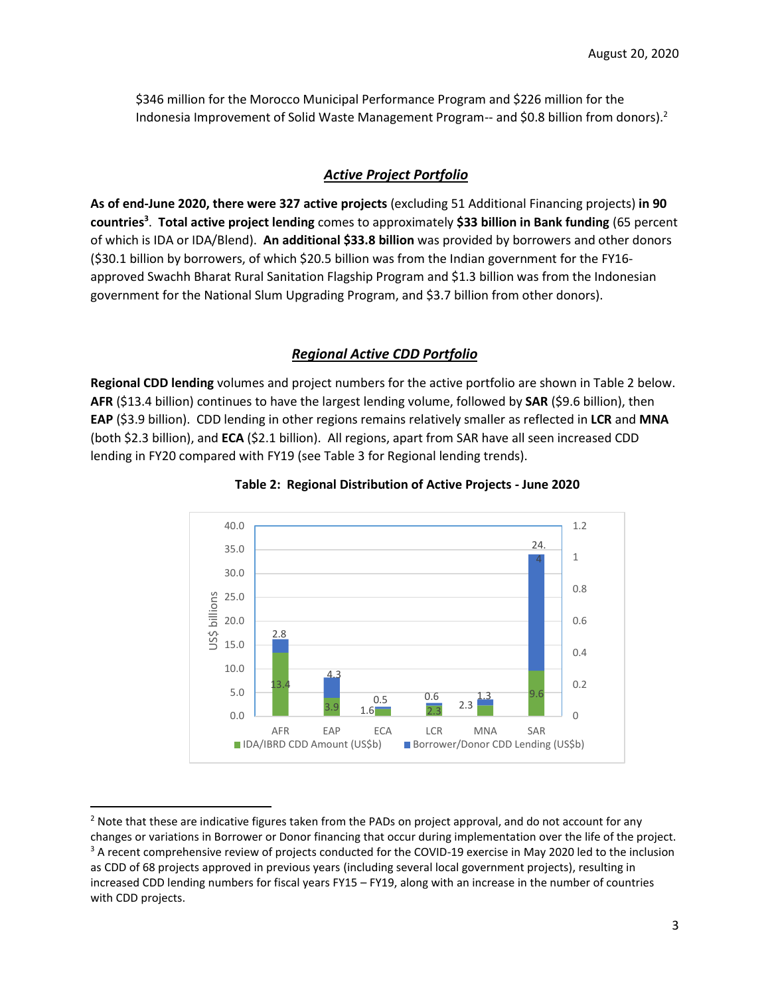\$346 million for the Morocco Municipal Performance Program and \$226 million for the Indonesia Improvement of Solid Waste Management Program-- and \$0.8 billion from donors).<sup>2</sup>

# *Active Project Portfolio*

**As of end-June 2020, there were 327 active projects** (excluding 51 Additional Financing projects) **in 90 countries<sup>3</sup>** . **Total active project lending** comes to approximately **\$33 billion in Bank funding** (65 percent of which is IDA or IDA/Blend). **An additional \$33.8 billion** was provided by borrowers and other donors (\$30.1 billion by borrowers, of which \$20.5 billion was from the Indian government for the FY16 approved Swachh Bharat Rural Sanitation Flagship Program and \$1.3 billion was from the Indonesian government for the National Slum Upgrading Program, and \$3.7 billion from other donors).

## *Regional Active CDD Portfolio*

**Regional CDD lending** volumes and project numbers for the active portfolio are shown in Table 2 below. **AFR** (\$13.4 billion) continues to have the largest lending volume, followed by **SAR** (\$9.6 billion), then **EAP** (\$3.9 billion). CDD lending in other regions remains relatively smaller as reflected in **LCR** and **MNA**  (both \$2.3 billion), and **ECA** (\$2.1 billion). All regions, apart from SAR have all seen increased CDD lending in FY20 compared with FY19 (see Table 3 for Regional lending trends).



#### **Table 2: Regional Distribution of Active Projects - June 2020**

<sup>&</sup>lt;sup>2</sup> Note that these are indicative figures taken from the PADs on project approval, and do not account for any changes or variations in Borrower or Donor financing that occur during implementation over the life of the project. <sup>3</sup> A recent comprehensive review of projects conducted for the COVID-19 exercise in May 2020 led to the inclusion as CDD of 68 projects approved in previous years (including several local government projects), resulting in increased CDD lending numbers for fiscal years FY15 – FY19, along with an increase in the number of countries with CDD projects.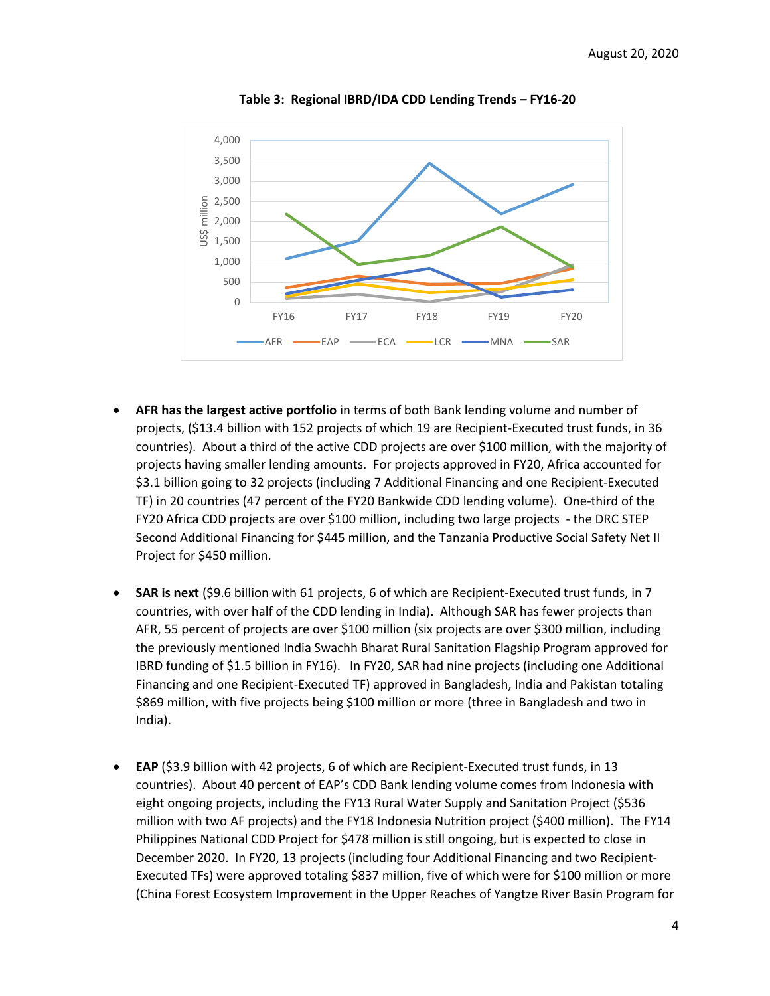

**Table 3: Regional IBRD/IDA CDD Lending Trends – FY16-20**

- **AFR has the largest active portfolio** in terms of both Bank lending volume and number of projects, (\$13.4 billion with 152 projects of which 19 are Recipient-Executed trust funds, in 36 countries). About a third of the active CDD projects are over \$100 million, with the majority of projects having smaller lending amounts. For projects approved in FY20, Africa accounted for \$3.1 billion going to 32 projects (including 7 Additional Financing and one Recipient-Executed TF) in 20 countries (47 percent of the FY20 Bankwide CDD lending volume). One-third of the FY20 Africa CDD projects are over \$100 million, including two large projects - the DRC STEP Second Additional Financing for \$445 million, and the Tanzania Productive Social Safety Net II Project for \$450 million.
- **SAR is next** (\$9.6 billion with 61 projects, 6 of which are Recipient-Executed trust funds, in 7 countries, with over half of the CDD lending in India). Although SAR has fewer projects than AFR, 55 percent of projects are over \$100 million (six projects are over \$300 million, including the previously mentioned India Swachh Bharat Rural Sanitation Flagship Program approved for IBRD funding of \$1.5 billion in FY16). In FY20, SAR had nine projects (including one Additional Financing and one Recipient-Executed TF) approved in Bangladesh, India and Pakistan totaling \$869 million, with five projects being \$100 million or more (three in Bangladesh and two in India).
- **EAP** (\$3.9 billion with 42 projects, 6 of which are Recipient-Executed trust funds, in 13 countries). About 40 percent of EAP's CDD Bank lending volume comes from Indonesia with eight ongoing projects, including the FY13 Rural Water Supply and Sanitation Project (\$536 million with two AF projects) and the FY18 Indonesia Nutrition project (\$400 million). The FY14 Philippines National CDD Project for \$478 million is still ongoing, but is expected to close in December 2020. In FY20, 13 projects (including four Additional Financing and two Recipient-Executed TFs) were approved totaling \$837 million, five of which were for \$100 million or more (China Forest Ecosystem Improvement in the Upper Reaches of Yangtze River Basin Program for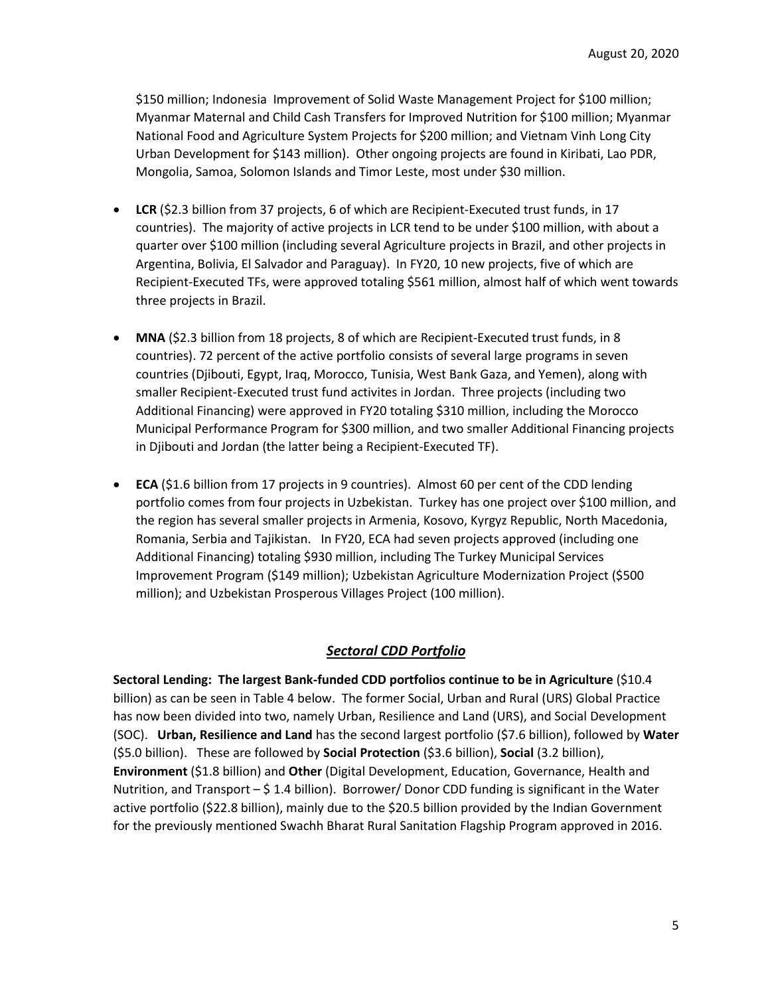\$150 million; Indonesia Improvement of Solid Waste Management Project for \$100 million; Myanmar Maternal and Child Cash Transfers for Improved Nutrition for \$100 million; Myanmar National Food and Agriculture System Projects for \$200 million; and Vietnam Vinh Long City Urban Development for \$143 million). Other ongoing projects are found in Kiribati, Lao PDR, Mongolia, Samoa, Solomon Islands and Timor Leste, most under \$30 million.

- **LCR** (\$2.3 billion from 37 projects, 6 of which are Recipient-Executed trust funds, in 17 countries). The majority of active projects in LCR tend to be under \$100 million, with about a quarter over \$100 million (including several Agriculture projects in Brazil, and other projects in Argentina, Bolivia, El Salvador and Paraguay). In FY20, 10 new projects, five of which are Recipient-Executed TFs, were approved totaling \$561 million, almost half of which went towards three projects in Brazil.
- **MNA** (\$2.3 billion from 18 projects, 8 of which are Recipient-Executed trust funds, in 8 countries). 72 percent of the active portfolio consists of several large programs in seven countries (Djibouti, Egypt, Iraq, Morocco, Tunisia, West Bank Gaza, and Yemen), along with smaller Recipient-Executed trust fund activites in Jordan. Three projects (including two Additional Financing) were approved in FY20 totaling \$310 million, including the Morocco Municipal Performance Program for \$300 million, and two smaller Additional Financing projects in Djibouti and Jordan (the latter being a Recipient-Executed TF).
- **ECA** (\$1.6 billion from 17 projects in 9 countries). Almost 60 per cent of the CDD lending portfolio comes from four projects in Uzbekistan. Turkey has one project over \$100 million, and the region has several smaller projects in Armenia, Kosovo, Kyrgyz Republic, North Macedonia, Romania, Serbia and Tajikistan. In FY20, ECA had seven projects approved (including one Additional Financing) totaling \$930 million, including The Turkey Municipal Services Improvement Program (\$149 million); Uzbekistan Agriculture Modernization Project (\$500 million); and Uzbekistan Prosperous Villages Project (100 million).

# *Sectoral CDD Portfolio*

**Sectoral Lending: The largest Bank-funded CDD portfolios continue to be in Agriculture** (\$10.4 billion) as can be seen in Table 4 below. The former Social, Urban and Rural (URS) Global Practice has now been divided into two, namely Urban, Resilience and Land (URS), and Social Development (SOC). **Urban, Resilience and Land** has the second largest portfolio (\$7.6 billion), followed by **Water**  (\$5.0 billion). These are followed by **Social Protection** (\$3.6 billion), **Social** (3.2 billion), **Environment** (\$1.8 billion) and **Other** (Digital Development, Education, Governance, Health and Nutrition, and Transport  $-$  \$ 1.4 billion). Borrower/ Donor CDD funding is significant in the Water active portfolio (\$22.8 billion), mainly due to the \$20.5 billion provided by the Indian Government for the previously mentioned Swachh Bharat Rural Sanitation Flagship Program approved in 2016.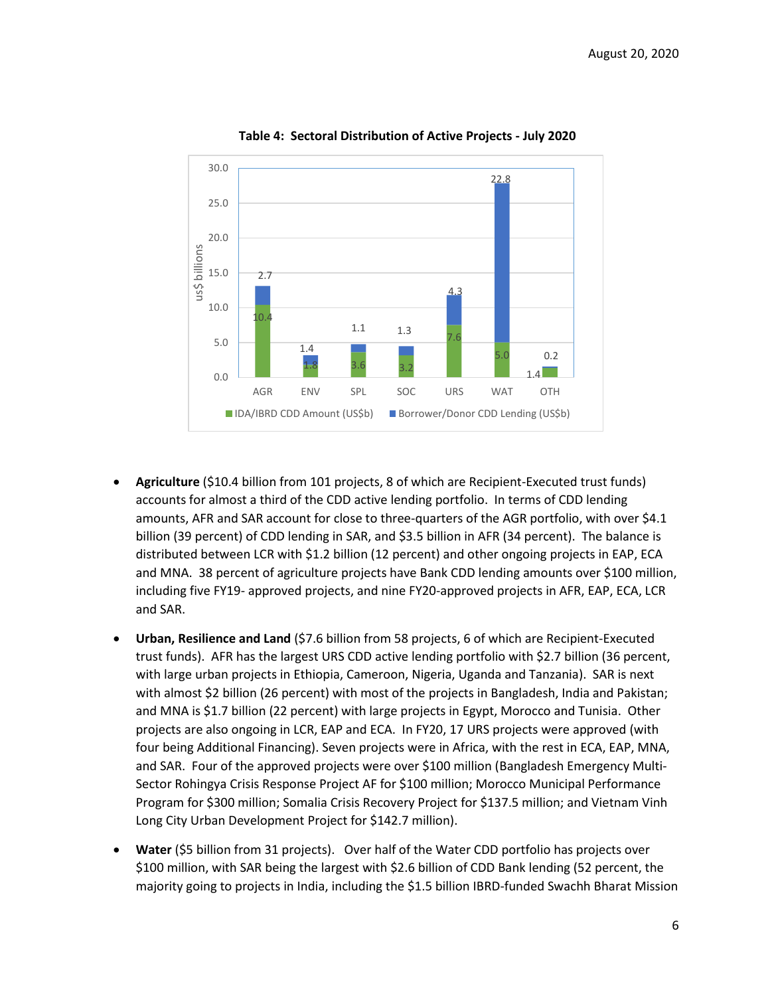

### **Table 4: Sectoral Distribution of Active Projects - July 2020**

- **Agriculture** (\$10.4 billion from 101 projects, 8 of which are Recipient-Executed trust funds) accounts for almost a third of the CDD active lending portfolio. In terms of CDD lending amounts, AFR and SAR account for close to three-quarters of the AGR portfolio, with over \$4.1 billion (39 percent) of CDD lending in SAR, and \$3.5 billion in AFR (34 percent). The balance is distributed between LCR with \$1.2 billion (12 percent) and other ongoing projects in EAP, ECA and MNA. 38 percent of agriculture projects have Bank CDD lending amounts over \$100 million, including five FY19- approved projects, and nine FY20-approved projects in AFR, EAP, ECA, LCR and SAR.
- **Urban, Resilience and Land** (\$7.6 billion from 58 projects, 6 of which are Recipient-Executed trust funds). AFR has the largest URS CDD active lending portfolio with \$2.7 billion (36 percent, with large urban projects in Ethiopia, Cameroon, Nigeria, Uganda and Tanzania). SAR is next with almost \$2 billion (26 percent) with most of the projects in Bangladesh, India and Pakistan; and MNA is \$1.7 billion (22 percent) with large projects in Egypt, Morocco and Tunisia. Other projects are also ongoing in LCR, EAP and ECA. In FY20, 17 URS projects were approved (with four being Additional Financing). Seven projects were in Africa, with the rest in ECA, EAP, MNA, and SAR. Four of the approved projects were over \$100 million (Bangladesh Emergency Multi-Sector Rohingya Crisis Response Project AF for \$100 million; Morocco Municipal Performance Program for \$300 million; Somalia Crisis Recovery Project for \$137.5 million; and Vietnam Vinh Long City Urban Development Project for \$142.7 million).
- **Water** (\$5 billion from 31 projects). Over half of the Water CDD portfolio has projects over \$100 million, with SAR being the largest with \$2.6 billion of CDD Bank lending (52 percent, the majority going to projects in India, including the \$1.5 billion IBRD-funded Swachh Bharat Mission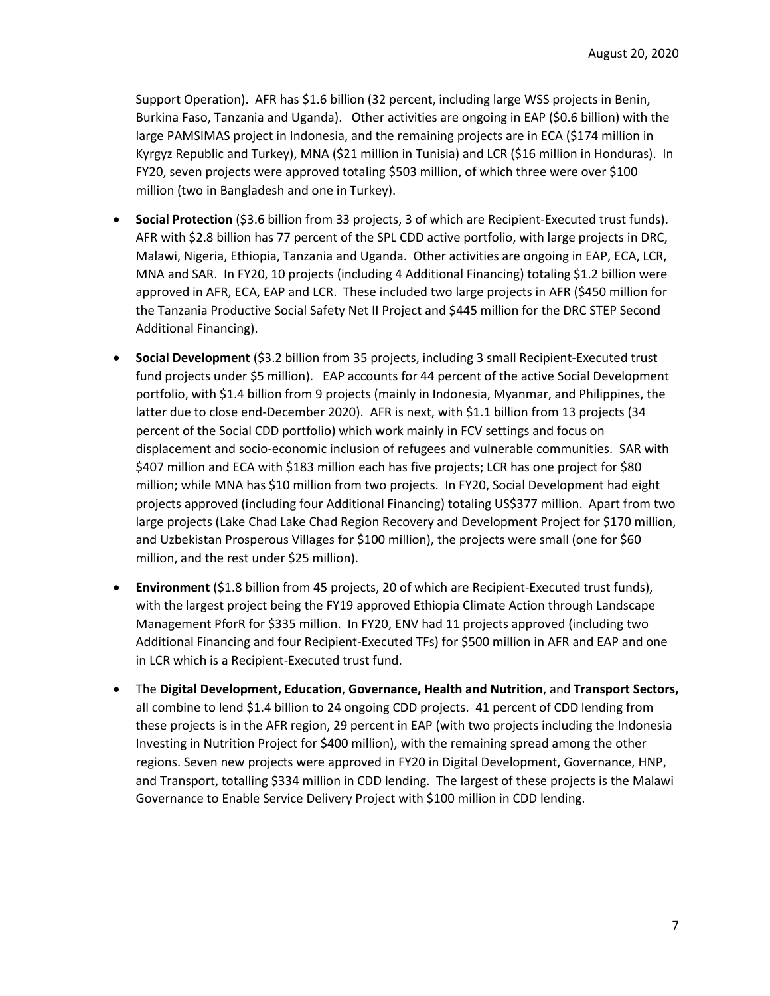Support Operation). AFR has \$1.6 billion (32 percent, including large WSS projects in Benin, Burkina Faso, Tanzania and Uganda). Other activities are ongoing in EAP (\$0.6 billion) with the large PAMSIMAS project in Indonesia, and the remaining projects are in ECA (\$174 million in Kyrgyz Republic and Turkey), MNA (\$21 million in Tunisia) and LCR (\$16 million in Honduras). In FY20, seven projects were approved totaling \$503 million, of which three were over \$100 million (two in Bangladesh and one in Turkey).

- **Social Protection** (\$3.6 billion from 33 projects, 3 of which are Recipient-Executed trust funds). AFR with \$2.8 billion has 77 percent of the SPL CDD active portfolio, with large projects in DRC, Malawi, Nigeria, Ethiopia, Tanzania and Uganda. Other activities are ongoing in EAP, ECA, LCR, MNA and SAR. In FY20, 10 projects (including 4 Additional Financing) totaling \$1.2 billion were approved in AFR, ECA, EAP and LCR. These included two large projects in AFR (\$450 million for the Tanzania Productive Social Safety Net II Project and \$445 million for the DRC STEP Second Additional Financing).
- **Social Development** (\$3.2 billion from 35 projects, including 3 small Recipient-Executed trust fund projects under \$5 million). EAP accounts for 44 percent of the active Social Development portfolio, with \$1.4 billion from 9 projects (mainly in Indonesia, Myanmar, and Philippines, the latter due to close end-December 2020). AFR is next, with \$1.1 billion from 13 projects (34 percent of the Social CDD portfolio) which work mainly in FCV settings and focus on displacement and socio-economic inclusion of refugees and vulnerable communities. SAR with \$407 million and ECA with \$183 million each has five projects; LCR has one project for \$80 million; while MNA has \$10 million from two projects. In FY20, Social Development had eight projects approved (including four Additional Financing) totaling US\$377 million. Apart from two large projects (Lake Chad Lake Chad Region Recovery and Development Project for \$170 million, and Uzbekistan Prosperous Villages for \$100 million), the projects were small (one for \$60 million, and the rest under \$25 million).
- **Environment** (\$1.8 billion from 45 projects, 20 of which are Recipient-Executed trust funds), with the largest project being the FY19 approved Ethiopia Climate Action through Landscape Management PforR for \$335 million. In FY20, ENV had 11 projects approved (including two Additional Financing and four Recipient-Executed TFs) for \$500 million in AFR and EAP and one in LCR which is a Recipient-Executed trust fund.
- The **Digital Development, Education**, **Governance, Health and Nutrition**, and **Transport Sectors,**  all combine to lend \$1.4 billion to 24 ongoing CDD projects. 41 percent of CDD lending from these projects is in the AFR region, 29 percent in EAP (with two projects including the Indonesia Investing in Nutrition Project for \$400 million), with the remaining spread among the other regions. Seven new projects were approved in FY20 in Digital Development, Governance, HNP, and Transport, totalling \$334 million in CDD lending. The largest of these projects is the Malawi Governance to Enable Service Delivery Project with \$100 million in CDD lending.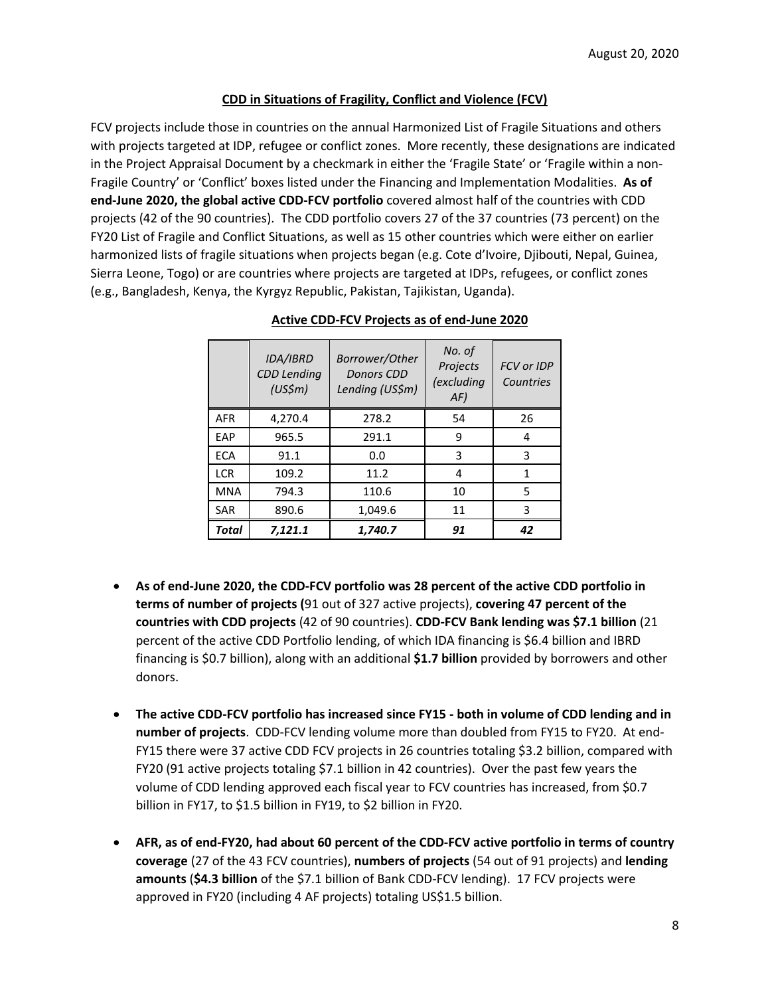## **CDD in Situations of Fragility, Conflict and Violence (FCV)**

FCV projects include those in countries on the annual Harmonized List of Fragile Situations and others with projects targeted at IDP, refugee or conflict zones. More recently, these designations are indicated in the Project Appraisal Document by a checkmark in either the 'Fragile State' or 'Fragile within a non-Fragile Country' or 'Conflict' boxes listed under the Financing and Implementation Modalities. **As of end-June 2020, the global active CDD-FCV portfolio** covered almost half of the countries with CDD projects (42 of the 90 countries). The CDD portfolio covers 27 of the 37 countries (73 percent) on the FY20 List of Fragile and Conflict Situations, as well as 15 other countries which were either on earlier harmonized lists of fragile situations when projects began (e.g. Cote d'Ivoire, Djibouti, Nepal, Guinea, Sierra Leone, Togo) or are countries where projects are targeted at IDPs, refugees, or conflict zones (e.g., Bangladesh, Kenya, the Kyrgyz Republic, Pakistan, Tajikistan, Uganda).

|            | IDA/IBRD<br><b>CDD</b> Lending<br>(US\$ <sub>m</sub> ) | Borrower/Other<br><b>Donors CDD</b><br>Lending (US\$m) | No. of<br>Projects<br>(excluding<br>AF) | <b>FCV or IDP</b><br>Countries |
|------------|--------------------------------------------------------|--------------------------------------------------------|-----------------------------------------|--------------------------------|
| <b>AFR</b> | 4,270.4                                                | 278.2                                                  | 54                                      | 26                             |
| EAP        | 965.5                                                  | 291.1                                                  | 9                                       | 4                              |
| <b>ECA</b> | 91.1                                                   | 0.0                                                    | 3                                       | 3                              |
| <b>LCR</b> | 109.2                                                  | 11.2                                                   | 4                                       | 1                              |
| <b>MNA</b> | 794.3                                                  | 110.6                                                  | 10                                      | 5                              |
| <b>SAR</b> | 890.6                                                  | 1,049.6                                                | 11                                      | 3                              |
| Total      | 7,121.1                                                | 1,740.7                                                | 91                                      | 42                             |

## **Active CDD-FCV Projects as of end-June 2020**

- **As of end-June 2020, the CDD-FCV portfolio was 28 percent of the active CDD portfolio in terms of number of projects (**91 out of 327 active projects), **covering 47 percent of the countries with CDD projects** (42 of 90 countries). **CDD-FCV Bank lending was \$7.1 billion** (21 percent of the active CDD Portfolio lending, of which IDA financing is \$6.4 billion and IBRD financing is \$0.7 billion), along with an additional **\$1.7 billion** provided by borrowers and other donors.
- **The active CDD-FCV portfolio has increased since FY15 - both in volume of CDD lending and in number of projects**. CDD-FCV lending volume more than doubled from FY15 to FY20. At end-FY15 there were 37 active CDD FCV projects in 26 countries totaling \$3.2 billion, compared with FY20 (91 active projects totaling \$7.1 billion in 42 countries). Over the past few years the volume of CDD lending approved each fiscal year to FCV countries has increased, from \$0.7 billion in FY17, to \$1.5 billion in FY19, to \$2 billion in FY20.
- **AFR, as of end-FY20, had about 60 percent of the CDD-FCV active portfolio in terms of country coverage** (27 of the 43 FCV countries), **numbers of projects** (54 out of 91 projects) and **lending amounts** (**\$4.3 billion** of the \$7.1 billion of Bank CDD-FCV lending). 17 FCV projects were approved in FY20 (including 4 AF projects) totaling US\$1.5 billion.